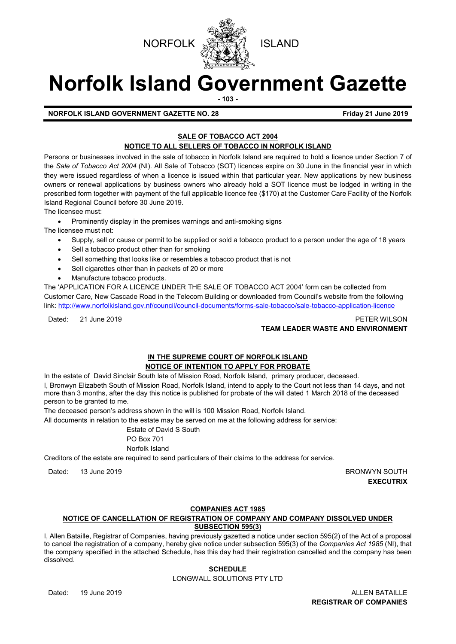



# **Norfolk Island Government Gazette**

**- 103 -**

**NORFOLK ISLAND GOVERNMENT GAZETTE NO. 28 Friday 21 June 2019**

# **SALE OF TOBACCO ACT 2004**

# **NOTICE TO ALL SELLERS OF TOBACCO IN NORFOLK ISLAND**

Persons or businesses involved in the sale of tobacco in Norfolk Island are required to hold a licence under Section 7 of the *Sale of Tobacco Act 2004* (NI). All Sale of Tobacco (SOT) licences expire on 30 June in the financial year in which they were issued regardless of when a licence is issued within that particular year. New applications by new business owners or renewal applications by business owners who already hold a SOT licence must be lodged in writing in the prescribed form together with payment of the full applicable licence fee (\$170) at the Customer Care Facility of the Norfolk Island Regional Council before 30 June 2019.

The licensee must:

• Prominently display in the premises warnings and anti-smoking signs

The licensee must not:

- Supply, sell or cause or permit to be supplied or sold a tobacco product to a person under the age of 18 years
- Sell a tobacco product other than for smoking
- Sell something that looks like or resembles a tobacco product that is not
- Sell cigarettes other than in packets of 20 or more
- Manufacture tobacco products.

The 'APPLICATION FOR A LICENCE UNDER THE SALE OF TOBACCO ACT 2004' form can be collected from Customer Care, New Cascade Road in the Telecom Building or downloaded from Council's website from the following link:<http://www.norfolkisland.gov.nf/council/council-documents/forms-sale-tobacco/sale-tobacco-application-licence>

Dated: 21 June 2019 PETER WILSON **TEAM LEADER WASTE AND ENVIRONMENT**

# **IN THE SUPREME COURT OF NORFOLK ISLAND NOTICE OF INTENTION TO APPLY FOR PROBATE**

In the estate of David Sinclair South late of Mission Road, Norfolk Island, primary producer, deceased. I, Bronwyn Elizabeth South of Mission Road, Norfolk Island, intend to apply to the Court not less than 14 days, and not more than 3 months, after the day this notice is published for probate of the will dated 1 March 2018 of the deceased person to be granted to me.

The deceased person's address shown in the will is 100 Mission Road, Norfolk Island.

All documents in relation to the estate may be served on me at the following address for service:

Estate of David S South PO Box 701 Norfolk Island

Creditors of the estate are required to send particulars of their claims to the address for service.

Dated: 13 June 2019 BRONWYN SOUTH

**EXECUTRIX**

### **COMPANIES ACT 1985**

# **NOTICE OF CANCELLATION OF REGISTRATION OF COMPANY AND COMPANY DISSOLVED UNDER SUBSECTION 595(3)**

I, Allen Bataille, Registrar of Companies, having previously gazetted a notice under section 595(2) of the Act of a proposal to cancel the registration of a company, hereby give notice under subsection 595(3) of the *Companies Act 1985* (NI), that the company specified in the attached Schedule, has this day had their registration cancelled and the company has been dissolved.

# **SCHEDULE**

LONGWALL SOLUTIONS PTY LTD

Dated: 19 June 2019 **ALLEN BATAILLE REGISTRAR OF COMPANIES**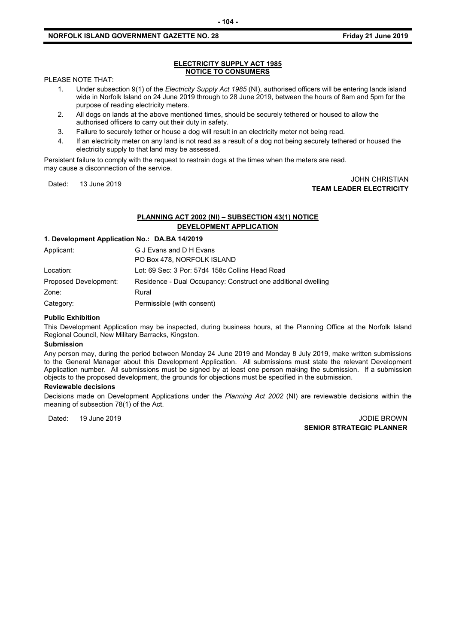#### **NORFOLK ISLAND GOVERNMENT GAZETTE NO. 28 Friday 21 June 2019**

#### **ELECTRICITY SUPPLY ACT 1985 NOTICE TO CONSUMERS**

#### PLEASE NOTE THAT:

- 1. Under subsection 9(1) of the *Electricity Supply Act 1985* (NI), authorised officers will be entering lands island wide in Norfolk Island on 24 June 2019 through to 28 June 2019, between the hours of 8am and 5pm for the purpose of reading electricity meters.
- 2. All dogs on lands at the above mentioned times, should be securely tethered or housed to allow the authorised officers to carry out their duty in safety.
- 3. Failure to securely tether or house a dog will result in an electricity meter not being read.
- 4. If an electricity meter on any land is not read as a result of a dog not being securely tethered or housed the electricity supply to that land may be assessed.

Persistent failure to comply with the request to restrain dogs at the times when the meters are read. may cause a disconnection of the service.

#### Dated: 13 June 2019 JOHN CHRISTIAN **TEAM LEADER ELECTRICITY**

# **PLANNING ACT 2002 (NI) – SUBSECTION 43(1) NOTICE DEVELOPMENT APPLICATION**

## **1. Development Application No.: DA.BA 14/2019**

| Applicant:            | G J Evans and D H Evans                                       |
|-----------------------|---------------------------------------------------------------|
|                       | PO Box 478, NORFOLK ISLAND                                    |
| Location:             | Lot: 69 Sec: 3 Por: 57d4 158c Collins Head Road               |
| Proposed Development: | Residence - Dual Occupancy: Construct one additional dwelling |
| Zone:                 | Rural                                                         |
| Category:             | Permissible (with consent)                                    |

#### **Public Exhibition**

This Development Application may be inspected, during business hours, at the Planning Office at the Norfolk Island Regional Council, New Military Barracks, Kingston.

#### **Submission**

Any person may, during the period between Monday 24 June 2019 and Monday 8 July 2019, make written submissions to the General Manager about this Development Application. All submissions must state the relevant Development Application number. All submissions must be signed by at least one person making the submission. If a submission objects to the proposed development, the grounds for objections must be specified in the submission.

#### **Reviewable decisions**

Decisions made on Development Applications under the *Planning Act 2002* (NI) are reviewable decisions within the meaning of subsection 78(1) of the Act.

Dated: 19 June 2019 JODIE BROWN **SENIOR STRATEGIC PLANNER**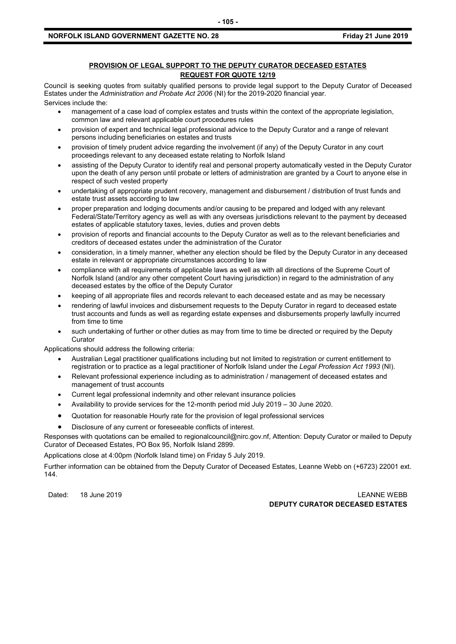#### **NORFOLK ISLAND GOVERNMENT GAZETTE NO. 28 FRIDAY 10 ASSESSMENT GAZETTE NO. 28 FRIDAY 21 June 2019**

### **PROVISION OF LEGAL SUPPORT TO THE DEPUTY CURATOR DECEASED ESTATES REQUEST FOR QUOTE 12/19**

Council is seeking quotes from suitably qualified persons to provide legal support to the Deputy Curator of Deceased Estates under the *Administration and Probate Act 2006* (NI) for the 2019-2020 financial year. Services include the:

- management of a case load of complex estates and trusts within the context of the appropriate legislation, common law and relevant applicable court procedures rules
- provision of expert and technical legal professional advice to the Deputy Curator and a range of relevant persons including beneficiaries on estates and trusts
- provision of timely prudent advice regarding the involvement (if any) of the Deputy Curator in any court proceedings relevant to any deceased estate relating to Norfolk Island
- assisting of the Deputy Curator to identify real and personal property automatically vested in the Deputy Curator upon the death of any person until probate or letters of administration are granted by a Court to anyone else in respect of such vested property
- undertaking of appropriate prudent recovery, management and disbursement / distribution of trust funds and estate trust assets according to law
- proper preparation and lodging documents and/or causing to be prepared and lodged with any relevant Federal/State/Territory agency as well as with any overseas jurisdictions relevant to the payment by deceased estates of applicable statutory taxes, levies, duties and proven debts
- provision of reports and financial accounts to the Deputy Curator as well as to the relevant beneficiaries and creditors of deceased estates under the administration of the Curator
- consideration, in a timely manner, whether any election should be filed by the Deputy Curator in any deceased estate in relevant or appropriate circumstances according to law
- compliance with all requirements of applicable laws as well as with all directions of the Supreme Court of Norfolk Island (and/or any other competent Court having jurisdiction) in regard to the administration of any deceased estates by the office of the Deputy Curator
- keeping of all appropriate files and records relevant to each deceased estate and as may be necessary
- rendering of lawful invoices and disbursement requests to the Deputy Curator in regard to deceased estate trust accounts and funds as well as regarding estate expenses and disbursements properly lawfully incurred from time to time
- such undertaking of further or other duties as may from time to time be directed or required by the Deputy **Curator**

Applications should address the following criteria:

- Australian Legal practitioner qualifications including but not limited to registration or current entitlement to registration or to practice as a legal practitioner of Norfolk Island under the *Legal Profession Act 1993* (NI).
- Relevant professional experience including as to administration / management of deceased estates and management of trust accounts
- Current legal professional indemnity and other relevant insurance policies
- Availability to provide services for the 12-month period mid July 2019 30 June 2020.
- Quotation for reasonable Hourly rate for the provision of legal professional services
- Disclosure of any current or foreseeable conflicts of interest.

Responses with quotations can be emailed to [regionalcouncil@nirc.gov.nf,](mailto:regionalcouncil@nirc.gov.nf) Attention: Deputy Curator or mailed to Deputy Curator of Deceased Estates, PO Box 95, Norfolk Island 2899.

Applications close at 4:00pm (Norfolk Island time) on Friday 5 July 2019.

Further information can be obtained from the Deputy Curator of Deceased Estates, Leanne Webb on (+6723) 22001 ext. 144.

Dated: 18 June 2019 LEANNE WEBB **DEPUTY CURATOR DECEASED ESTATES**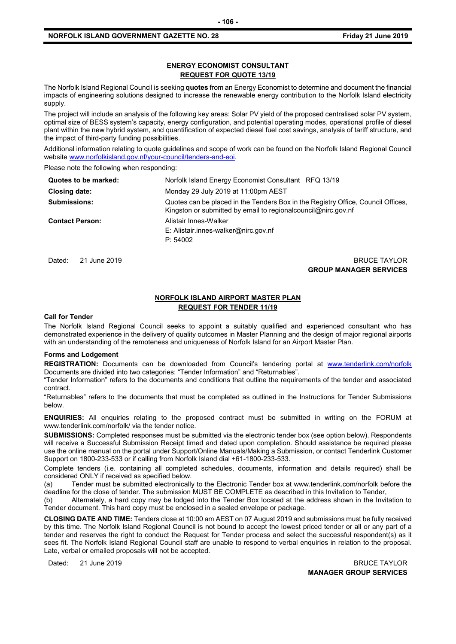#### **NORFOLK ISLAND GOVERNMENT GAZETTE NO. 28 FRIDAY 10 100 2019 Friday 21 June 2019**

#### **ENERGY ECONOMIST CONSULTANT REQUEST FOR QUOTE 13/19**

The Norfolk Island Regional Council is seeking **quotes** from an Energy Economist to determine and document the financial impacts of engineering solutions designed to increase the renewable energy contribution to the Norfolk Island electricity supply.

The project will include an analysis of the following key areas: Solar PV yield of the proposed centralised solar PV system, optimal size of BESS system's capacity, energy configuration, and potential operating modes, operational profile of diesel plant within the new hybrid system, and quantification of expected diesel fuel cost savings, analysis of tariff structure, and the impact of third-party funding possibilities.

Additional information relating to quote guidelines and scope of work can be found on the Norfolk Island Regional Council websit[e www.norfolkisland.gov.nf/your-council/tenders-and-eoi.](http://www.norfolkisland.gov.nf/your-council/tenders-and-eoi)

Please note the following when responding:

| Quotes to be marked:   | Norfolk Island Energy Economist Consultant RFQ 13/19                                                                                                |
|------------------------|-----------------------------------------------------------------------------------------------------------------------------------------------------|
| Closing date:          | Monday 29 July 2019 at 11:00pm AEST                                                                                                                 |
| <b>Submissions:</b>    | Quotes can be placed in the Tenders Box in the Registry Office, Council Offices,<br>Kingston or submitted by email to regional council @nirc.gov.nf |
| <b>Contact Person:</b> | Alistair Innes-Walker<br>E: Alistair.innes-walker@nirc.gov.nf<br>P: 54002                                                                           |

Dated: 21 June 2019 BRUCE TAYLOR **GROUP MANAGER SERVICES**

### **NORFOLK ISLAND AIRPORT MASTER PLAN REQUEST FOR TENDER 11/19**

#### **Call for Tender**

The Norfolk Island Regional Council seeks to appoint a suitably qualified and experienced consultant who has demonstrated experience in the delivery of quality outcomes in Master Planning and the design of major regional airports with an understanding of the remoteness and uniqueness of Norfolk Island for an Airport Master Plan.

#### **Forms and Lodgement**

REGISTRATION: Documents can be downloaded from Council's tendering portal at [www.tenderlink.com/norfolk](http://www.tenderlink.com/norfolk) Documents are divided into two categories: "Tender Information" and "Returnables".

"Tender Information" refers to the documents and conditions that outline the requirements of the tender and associated contract.

"Returnables" refers to the documents that must be completed as outlined in the Instructions for Tender Submissions below.

**ENQUIRIES:** All enquiries relating to the proposed contract must be submitted in writing on the FORUM at www.tenderlink.com/norfolk/ via the tender notice.

**SUBMISSIONS:** Completed responses must be submitted via the electronic tender box (see option below). Respondents will receive a Successful Submission Receipt timed and dated upon completion. Should assistance be required please use the online manual on the portal under Support/Online Manuals/Making a Submission, or contact Tenderlink Customer Support on 1800-233-533 or if calling from Norfolk Island dial +61-1800-233-533.

Complete tenders (i.e. containing all completed schedules, documents, information and details required) shall be considered ONLY if received as specified below.

(a) Tender must be submitted electronically to the Electronic Tender box at www.tenderlink.com/norfolk before the deadline for the close of tender. The submission MUST BE COMPLETE as described in this Invitation to Tender,

(b) Alternately, a hard copy may be lodged into the Tender Box located at the address shown in the Invitation to Tender document. This hard copy must be enclosed in a sealed envelope or package.

**CLOSING DATE AND TIME:** Tenders close at 10:00 am AEST on 07 August 2019 and submissions must be fully received by this time. The Norfolk Island Regional Council is not bound to accept the lowest priced tender or all or any part of a tender and reserves the right to conduct the Request for Tender process and select the successful respondent(s) as it sees fit. The Norfolk Island Regional Council staff are unable to respond to verbal enquiries in relation to the proposal. Late, verbal or emailed proposals will not be accepted.

Dated: 21 June 2019 BRUCE TAYLOR **MANAGER GROUP SERVICES**